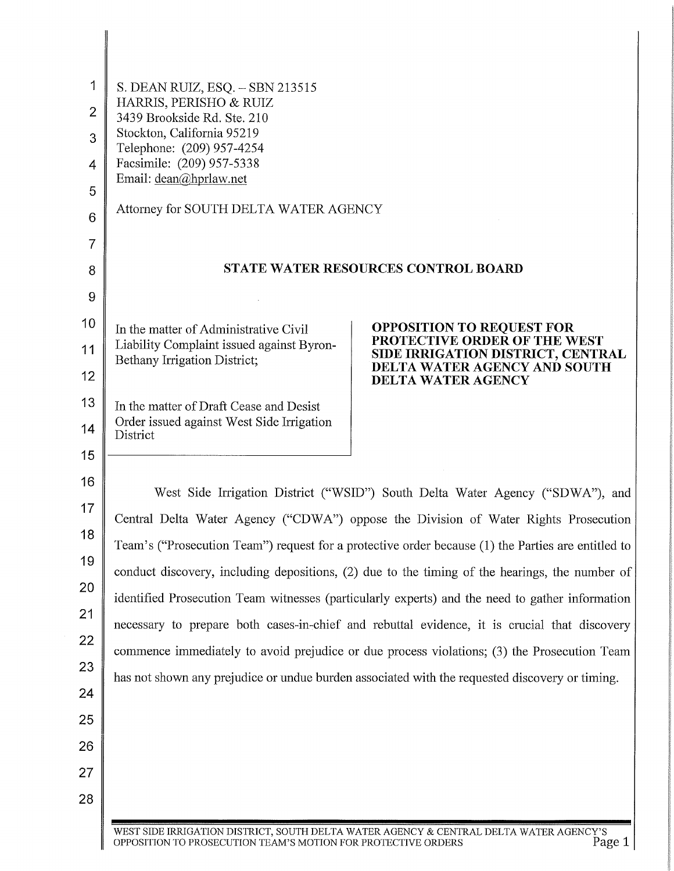| 1<br>$\overline{2}$<br>3<br>4<br>5<br>6<br>7 | S. DEAN RUIZ, ESQ. - SBN 213515<br>HARRIS, PERISHO & RUIZ<br>3439 Brookside Rd. Ste. 210<br>Stockton, California 95219<br>Telephone: (209) 957-4254<br>Facsimile: (209) 957-5338<br>Email: dean@hprlaw.net<br>Attorney for SOUTH DELTA WATER AGENCY                                                                                                                                                                                                                                                                                                                                                                                                                            |                                                                   |  |
|----------------------------------------------|--------------------------------------------------------------------------------------------------------------------------------------------------------------------------------------------------------------------------------------------------------------------------------------------------------------------------------------------------------------------------------------------------------------------------------------------------------------------------------------------------------------------------------------------------------------------------------------------------------------------------------------------------------------------------------|-------------------------------------------------------------------|--|
| 8                                            | <b>STATE WATER RESOURCES CONTROL BOARD</b>                                                                                                                                                                                                                                                                                                                                                                                                                                                                                                                                                                                                                                     |                                                                   |  |
| 9                                            |                                                                                                                                                                                                                                                                                                                                                                                                                                                                                                                                                                                                                                                                                |                                                                   |  |
| 10                                           | In the matter of Administrative Civil                                                                                                                                                                                                                                                                                                                                                                                                                                                                                                                                                                                                                                          | <b>OPPOSITION TO REQUEST FOR</b><br>PROTECTIVE ORDER OF THE WEST  |  |
| 11                                           | Liability Complaint issued against Byron-<br>Bethany Irrigation District;                                                                                                                                                                                                                                                                                                                                                                                                                                                                                                                                                                                                      | SIDE IRRIGATION DISTRICT, CENTRAL<br>DELTA WATER AGENCY AND SOUTH |  |
| 12                                           |                                                                                                                                                                                                                                                                                                                                                                                                                                                                                                                                                                                                                                                                                | DELTA WATER AGENCY                                                |  |
| 13                                           | In the matter of Draft Cease and Desist<br>Order issued against West Side Irrigation                                                                                                                                                                                                                                                                                                                                                                                                                                                                                                                                                                                           |                                                                   |  |
| 14                                           | District                                                                                                                                                                                                                                                                                                                                                                                                                                                                                                                                                                                                                                                                       |                                                                   |  |
| 15                                           |                                                                                                                                                                                                                                                                                                                                                                                                                                                                                                                                                                                                                                                                                |                                                                   |  |
| 16                                           | West Side Irrigation District ("WSID") South Delta Water Agency ("SDWA"), and<br>Central Delta Water Agency ("CDWA") oppose the Division of Water Rights Prosecution<br>Team's ("Prosecution Team") request for a protective order because (1) the Parties are entitled to<br>conduct discovery, including depositions, (2) due to the timing of the hearings, the number of<br>identified Prosecution Team witnesses (particularly experts) and the need to gather information<br>necessary to prepare both cases-in-chief and rebuttal evidence, it is crucial that discovery<br>commence immediately to avoid prejudice or due process violations; (3) the Prosecution Team |                                                                   |  |
| 17                                           |                                                                                                                                                                                                                                                                                                                                                                                                                                                                                                                                                                                                                                                                                |                                                                   |  |
| 18                                           |                                                                                                                                                                                                                                                                                                                                                                                                                                                                                                                                                                                                                                                                                |                                                                   |  |
| 19                                           |                                                                                                                                                                                                                                                                                                                                                                                                                                                                                                                                                                                                                                                                                |                                                                   |  |
| 20                                           |                                                                                                                                                                                                                                                                                                                                                                                                                                                                                                                                                                                                                                                                                |                                                                   |  |
| 21                                           |                                                                                                                                                                                                                                                                                                                                                                                                                                                                                                                                                                                                                                                                                |                                                                   |  |
| 22                                           |                                                                                                                                                                                                                                                                                                                                                                                                                                                                                                                                                                                                                                                                                |                                                                   |  |
| 23                                           | has not shown any prejudice or undue burden associated with the requested discovery or timing.                                                                                                                                                                                                                                                                                                                                                                                                                                                                                                                                                                                 |                                                                   |  |
| 24                                           |                                                                                                                                                                                                                                                                                                                                                                                                                                                                                                                                                                                                                                                                                |                                                                   |  |
| 25<br>26                                     |                                                                                                                                                                                                                                                                                                                                                                                                                                                                                                                                                                                                                                                                                |                                                                   |  |
| 27                                           |                                                                                                                                                                                                                                                                                                                                                                                                                                                                                                                                                                                                                                                                                |                                                                   |  |
| 28                                           |                                                                                                                                                                                                                                                                                                                                                                                                                                                                                                                                                                                                                                                                                |                                                                   |  |
|                                              | WEST SIDE IRRIGATION DISTRICT, SOUTH DELTA WATER AGENCY & CENTRAL DELTA WATER AGENCY'S                                                                                                                                                                                                                                                                                                                                                                                                                                                                                                                                                                                         |                                                                   |  |

 $\blacksquare$ 

WESTSIDE IRRIGATION DISTRICT, SOUTH DELTA WATER AGENCY & CENTRAL DELTA WATER AGENCY'S OPPOSITION TO PROSECUTION TEAM'S MOTION FOR PROTECTIVE ORDERS Page 1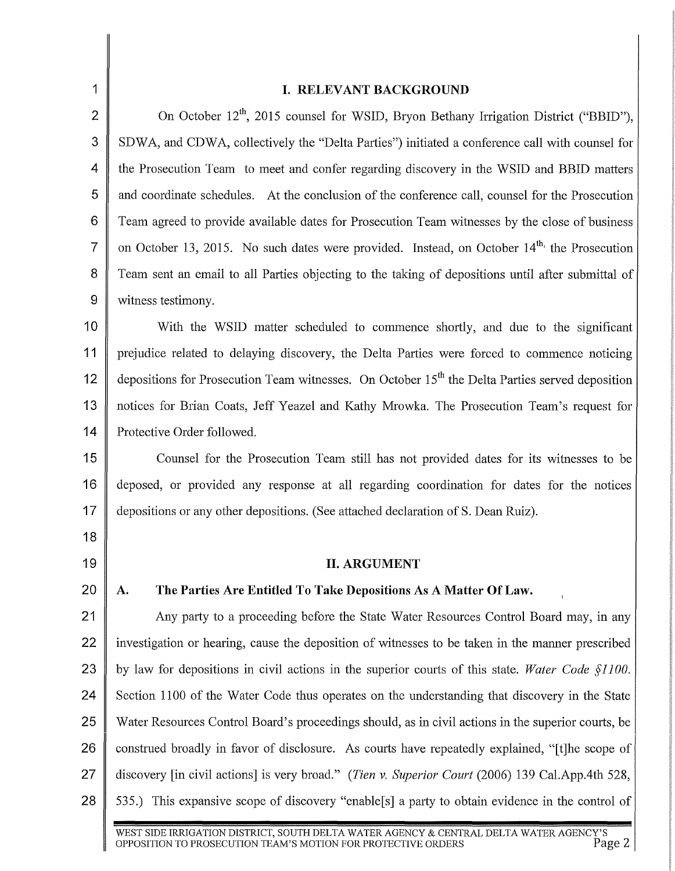| 1              | I. RELEVANT BACKGROUND                                                                                      |  |  |
|----------------|-------------------------------------------------------------------------------------------------------------|--|--|
| $\overline{2}$ |                                                                                                             |  |  |
|                | On October 12 <sup>th</sup> , 2015 counsel for WSID, Bryon Bethany Irrigation District ("BBID"),            |  |  |
| 3              | SDWA, and CDWA, collectively the "Delta Parties") initiated a conference call with counsel for              |  |  |
| 4              | the Prosecution Team to meet and confer regarding discovery in the WSID and BBID matters                    |  |  |
| 5              | and coordinate schedules. At the conclusion of the conference call, counsel for the Prosecution             |  |  |
| 6              | Team agreed to provide available dates for Prosecution Team witnesses by the close of business              |  |  |
| $\overline{7}$ | on October 13, 2015. No such dates were provided. Instead, on October 14 <sup>th,</sup> the Prosecution     |  |  |
| 8              | Team sent an email to all Parties objecting to the taking of depositions until after submittal of           |  |  |
| 9              | witness testimony.                                                                                          |  |  |
| 10             | With the WSID matter scheduled to commence shortly, and due to the significant                              |  |  |
| 11             | prejudice related to delaying discovery, the Delta Parties were forced to commence noticing                 |  |  |
| 12             | depositions for Prosecution Team witnesses. On October $15th$ the Delta Parties served deposition           |  |  |
| 13             | notices for Brian Coats, Jeff Yeazel and Kathy Mrowka. The Prosecution Team's request for                   |  |  |
| 14             | Protective Order followed.                                                                                  |  |  |
| 15             | Counsel for the Prosecution Team still has not provided dates for its witnesses to be                       |  |  |
| 16             | deposed, or provided any response at all regarding coordination for dates for the notices                   |  |  |
| 17             | depositions or any other depositions. (See attached declaration of S. Dean Ruiz).                           |  |  |
| 18             |                                                                                                             |  |  |
| 19             | <b>II. ARGUMENT</b>                                                                                         |  |  |
| 20             | The Parties Are Entitled To Take Depositions As A Matter Of Law.<br>A.                                      |  |  |
| 21             | Any party to a proceeding before the State Water Resources Control Board may, in any                        |  |  |
| 22             | investigation or hearing, cause the deposition of witnesses to be taken in the manner prescribed            |  |  |
| 23             | by law for depositions in civil actions in the superior courts of this state. Water Code §1100.             |  |  |
| 24             | Section 1100 of the Water Code thus operates on the understanding that discovery in the State               |  |  |
| 25             | Water Resources Control Board's proceedings should, as in civil actions in the superior courts, be          |  |  |
| 26             | construed broadly in favor of disclosure. As courts have repeatedly explained, "[t] he scope of             |  |  |
| 27             | discovery [in civil actions] is very broad." (Tien v. Superior Court (2006) 139 Cal.App.4th 528,            |  |  |
| 28             | 535.) This expansive scope of discovery "enable <sup>[s]</sup> a party to obtain evidence in the control of |  |  |
|                |                                                                                                             |  |  |

 $\parallel$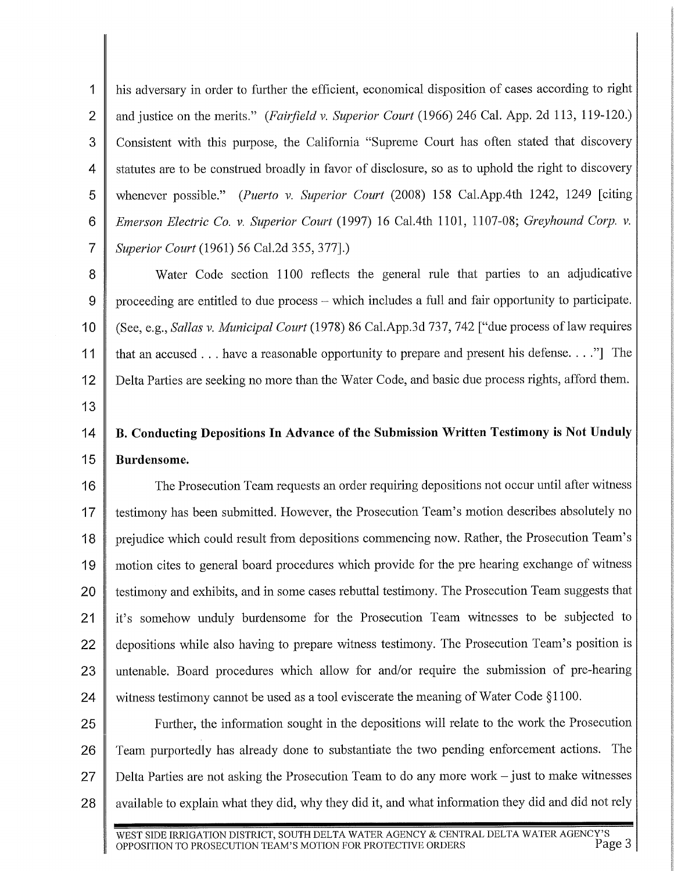1 his adversary in order to further the efficient, economical disposition of cases according to right 2 and justice on the merits." *(Fairfield v. Superior Court* (1966) 246 Cal. App. 2d 113, 119-120.) 3 Consistent with this purpose, the Califomia "Supreme Court has often stated that discovery 4 statutes are to be construed broadly in favor of disclosure, so as to uphold the right to discovery 5 whenever possible." *(Puerto v. Superior Court* (2008) 158 Cal.App.4th 1242, 1249 [citing 6 *Emerson Electric Co. v. Superior Court* (1997) 16 Cal.4th 1101, 1107-08; *Greyhound Corp. v.*  7 *Superior Court* (1961) 56 Cal.2d 355, 377].)

8 Water Code section 1100 reflects the general rule that parties to an adjudicative 9  $\parallel$  proceeding are entitled to due process – which includes a full and fair opportunity to participate. 10 (See, e.g., *Sallas v. Municipal Court* (1978) 86 Cal.App.3d 737, 742 ["due process oflaw requires 11 that an accused ... have a reasonable opportunity to prepare and present his defense...." The 12 Delta Parties are seeking no more than the Water Code, and basic due process rights, afford them.

13

# 14 | B. Conducting Depositions In Advance of the Submission Written Testimony is Not Unduly 15 Burdensome.

16 The Prosecution Team requests an order requiring depositions not occur until after witness 17 | testimony has been submitted. However, the Prosecution Team's motion describes absolutely no 18 prejudice which could result from depositions commencing now. Rather, the Prosecution Team's 19 motion cites to general board procedures which provide for the pre hearing exchange of witness 20 testimony and exhibits, and in some cases rebuttal testimony. The Prosecution Team suggests that 21 | it's somehow unduly burdensome for the Prosecution Team witnesses to be subjected to 22 depositions while also having to prepare witness testimony. The Prosecution Team's position is 23 || untenable. Board procedures which allow for and/or require the submission of pre-hearing 24 witness testimony cannot be used as a tool eviscerate the meaning of Water Code  $\S1100$ .

25 Further, the information sought in the depositions will relate to the work the Prosecution 26 Team purportedly has already done to substantiate the two pending enforcement actions. The 27 Delta Parties are not asking the Prosecution Team to do any more work- just to make witnesses 28  $\parallel$  available to explain what they did, why they did it, and what information they did and did not rely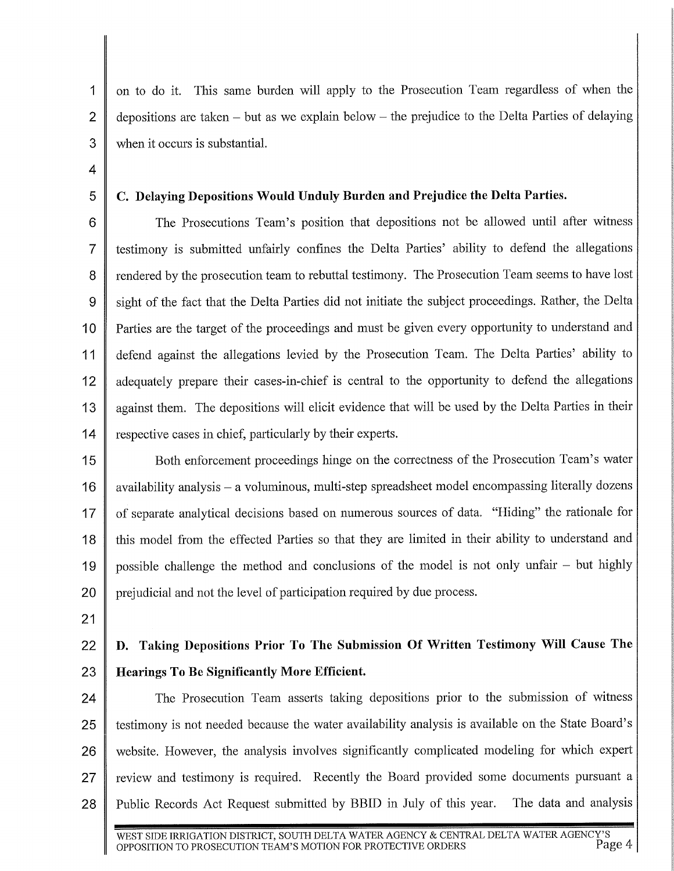1 on to do it. This same burden will apply to the Prosecution Team regardless of when the 2 depositions are taken – but as we explain below – the prejudice to the Delta Parties of delaying 3 when it occurs is substantial.

**4** 

#### 5 C. **Delaying Depositions Would Unduly Burden and Prejudice the Delta Parties.**

6 The Prosecutions Team's position that depositions not be allowed until after witness 7 testimony is submitted unfairly confines the Delta Parties' ability to defend the allegations 8 rendered by the prosecution team to rebuttal testimony. The Prosecution Team seems to have lost 9 || sight of the fact that the Delta Parties did not initiate the subject proceedings. Rather, the Delta **1** 0 Parties are the target of the proceedings and must be given every opportunity to understand and 11 defend against the allegations levied by the Prosecution Team. The Delta Parties' ability to 12 adequately prepare their cases-in-chief is central to the opportunity to defend the allegations 13 against them. The depositions will elicit evidence that will be used by the Delta Parties in their **14** respective cases in chief, particularly by their experts.

15 Soth enforcement proceedings hinge on the correctness of the Prosecution Team's water 16 availability analysis – a voluminous, multi-step spreadsheet model encompassing literally dozens 17 | of separate analytical decisions based on numerous sources of data. "Hiding" the rationale for 18 || this model from the effected Parties so that they are limited in their ability to understand and 19 || possible challenge the method and conclusions of the model is not only unfair  $-$  but highly 20 prejudicial and not the level of participation required by due process.

21

## 22 **D. Taking Depositions Prior To The Submission Of Written Testimony Will Cause The**  23 **Hearings To Be Significantly More Efficient.**

24 The Prosecution Team asserts taking depositions prior to the submission of witness 25 | testimony is not needed because the water availability analysis is available on the State Board's 26 website. However, the analysis involves significantly complicated modeling for which expert 27 review and testimony is required. Recently the Board provided some documents pursuant a 28 Public Records Act Request submitted by BBID in July of this year. The data and analysis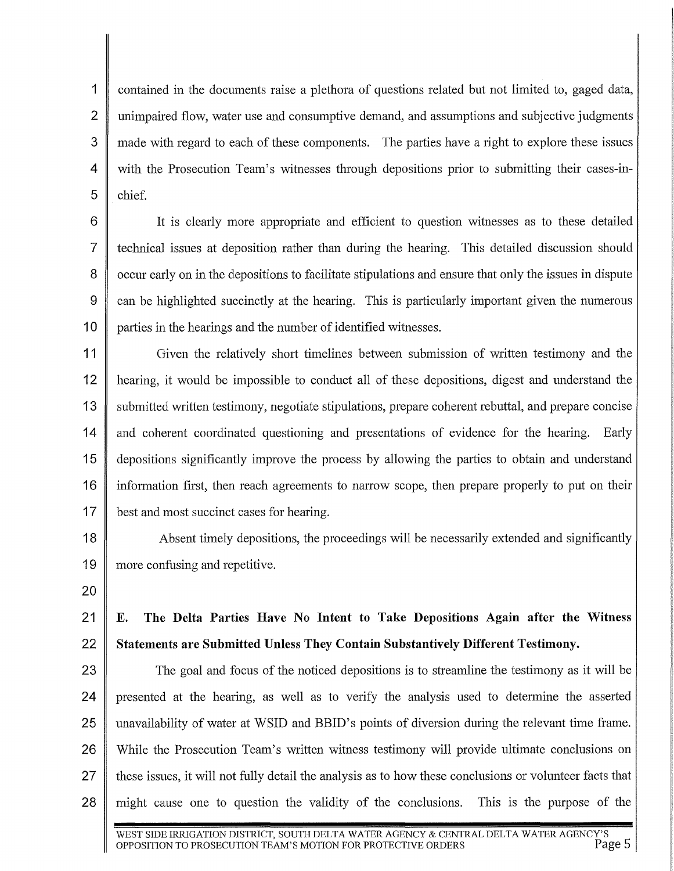1 contained in the documents raise a plethora of questions related but not limited to, gaged data, 2 unimpaired flow, water use and consumptive demand, and assumptions and subjective judgments  $3 \parallel$  made with regard to each of these components. The parties have a right to explore these issues  $4 \parallel$  with the Prosecution Team's witnesses through depositions prior to submitting their cases-in- $5 \parallel$  chief.

6 It is clearly more appropriate and efficient to question witnesses as to these detailed 7 teclmical issues at deposition rather than during the hearing. This detailed discussion should 8 ccur early on in the depositions to facilitate stipulations and ensure that only the issues in dispute 9 can be highlighted succinctly at the hearing. This is particularly important given the numerous 10 parties in the hearings and the number of identified witnesses.

11 Given the relatively short timelines between submission of written testimony and the 12 hearing, it would be impossible to conduct all of these depositions, digest and understand the 13 Submitted written testimony, negotiate stipulations, prepare coherent rebuttal, and prepare concise 14 and coherent coordinated questioning and presentations of evidence for the hearing. Early 15 depositions significantly improve the process by allowing the parties to obtain and understand 16 information first, then reach agreements to narrow scope, then prepare properly to put on their 17 best and most succinct cases for hearing.

18 Absent timely depositions, the proceedings will be necessarily extended and significantly 19 more confusing and repetitive.

20

## 21 E. The Delta Parties Have No Intent to Take Depositions Again after the Witness 22 Statements are Submitted Unless They Contain Substantively Different Testimony.

23 The goal and focus of the noticed depositions is to streamline the testimony as it will be 24 presented at the hearing, as well as to verify the analysis used to determine the asserted 25 unavailability of water at WSID and BBID's points of diversion during the relevant time frame. 26 While the Prosecution Team's written witness testimony will provide ultimate conclusions on 27 these issues, it will not fully detail the analysis as to how these conclusions or volunteer facts that 28 might cause one to question the validity of the conclusions. This is the purpose of the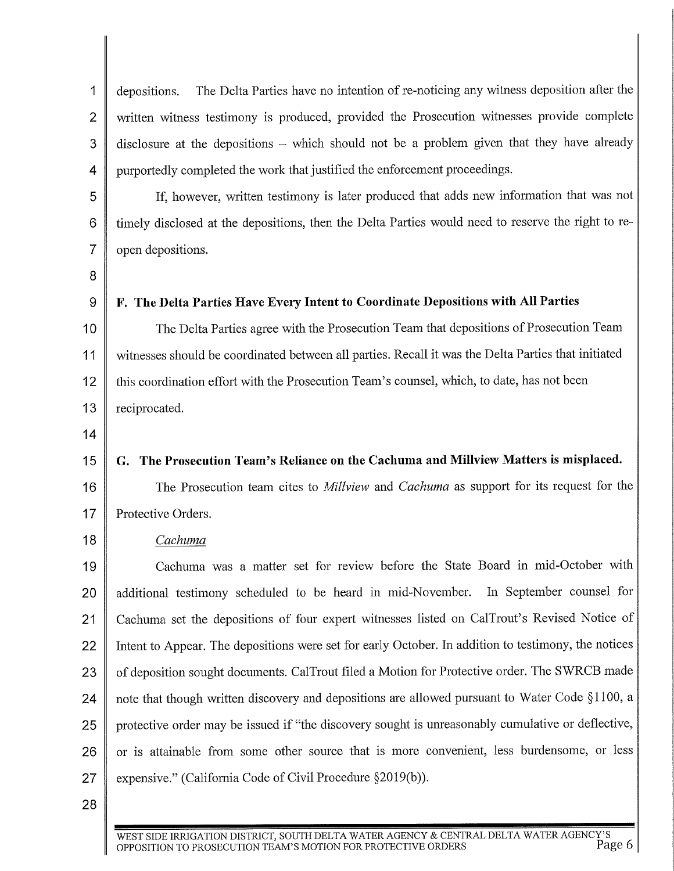1 depositions. The Delta Parties have no intention of re-noticing any witness deposition after the 2 | written witness testimony is produced, provided the Prosecution witnesses provide complete 3 disclosure at the depositions – which should not be a problem given that they have already 4 purportedly completed the work that justified the enforcement proceedings.

5 If, however, written testimony is later produced that adds new information that was not 6 | timely disclosed at the depositions, then the Delta Parties would need to reserve the right to re-7 open depositions.

8

## 9 F. The Delta Parties Have Every Intent to Coordinate Depositions with All Parties

10 The Delta Parties agree with the Prosecution Team that depositions of Prosecution Team 11 witnesses should be coordinated between all parties. Recall it was the Delta Parties that initiated 12 || this coordination effort with the Prosecution Team's counsel, which, to date, has not been 13 | reciprocated.

14

## 15 G. The Prosecution Team's Reliance on the Cachuma and Millview Matters is misplaced.

16 The Prosecution team cites to *Millview* and *Cachuma* as support for its request for the 17 Protective Orders.

#### 18 *Cachuma*

19 Cachuma was a matter set for review before the State Board in mid-October with 20 additional testimony scheduled to be heard in mid-November. In September counsel for 21 Cachuma set the depositions of four expert witnesses listed on CalTrout's Revised Notice of 22 Intent to Appear. The depositions were set for early October. In addition to testimony, the notices 23 | of deposition sought documents. CalTrout filed a Motion for Protective order. The SWRCB made 24 note that though written discovery and depositions are allowed pursuant to Water Code §1100, a 25 protective order may be issued if "the discovery sought is unreasonably cumulative or deflective, 26 or is attainable from some other source that is more convenient, less burdensome, or less 27 expensive." (California Code of Civil Procedure §2019(b)).

28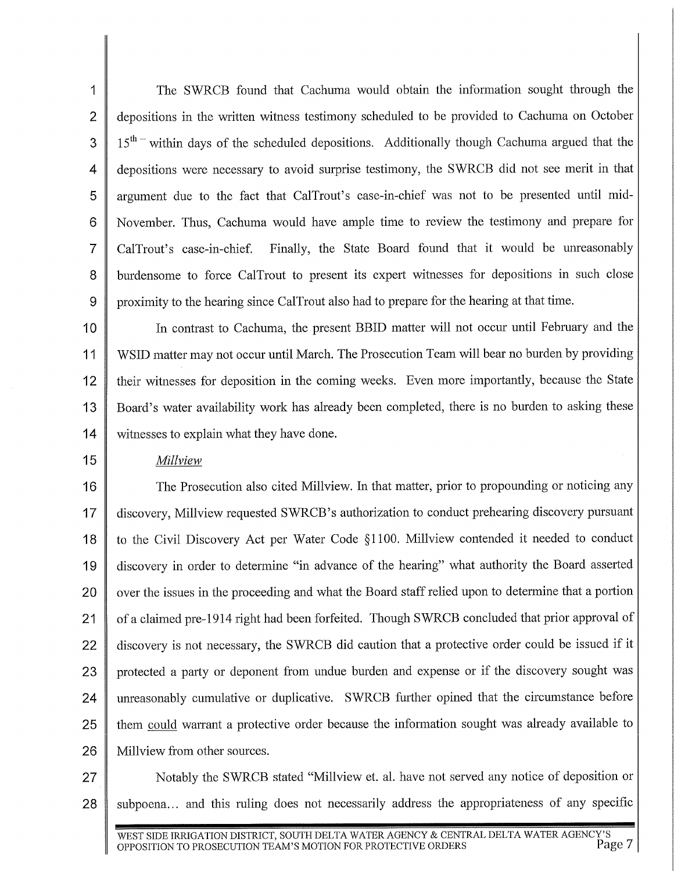1 The SWRCB found that Cachuma would obtain the information sought through the 2 depositions in the written witness testimony scheduled to be provided to Cachuma on October  $3 \parallel 15^{th}$  within days of the scheduled depositions. Additionally though Cachuma argued that the **4** depositions were necessary to avoid surprise testimony, the SWRCB did not see merit in that 5 argument due to the fact that CalTrout's case-in-chief was not to be presented until mid-6 November. Thus, Cachuma would have ample time to review the testimony and prepare for 7 CalTrout's case-in-chief. Finally, the State Board found that it would be umeasonably 8 burdensome to force CalTrout to present its expert witnesses for depositions in such close 9 proximity to the hearing since CalTrout also had to prepare for the hearing at that time.

10 In contrast to Cachuma, the present BBID matter will not occur until February and the 11 WSID matter may not occur until March. The Prosecution Team will bear no burden by providing 12 their witnesses for deposition in the coming weeks. Even more importantly, because the State 13 Board's water availability work has already been completed, there is no burden to asking these 14 **witnesses to explain what they have done.** 

#### 15 *Millview*

16 The Prosecution also cited Millview. In that matter, prior to propounding or noticing any 17 discovery, Millview requested SWRCB's authorization to conduct prehearing discovery pursuant 18 to the Civil Discovery Act per Water Code §1100. Millview contended it needed to conduct 19 discovery in order to detennine "in advance of the hearing" what authority the Board assetied 20 | over the issues in the proceeding and what the Board staff relied upon to determine that a portion 21 of a claimed pre-1914 right had been forfeited. Though SWRCB concluded that prior approval of 22 discovery is not necessary, the SWRCB did caution that a protective order could be issued if it 23  $\parallel$  protected a party or deponent from undue burden and expense or if the discovery sought was 24 unreasonably cumulative or duplicative. SWRCB further opined that the circumstance before 25 them could warrant a protective order because the information sought was already available to 26 | Millview from other sources.

27 || Notably the SWRCB stated "Millview et. al. have not served any notice of deposition or 28 subpoena... and this ruling does not necessarily address the appropriateness of any specific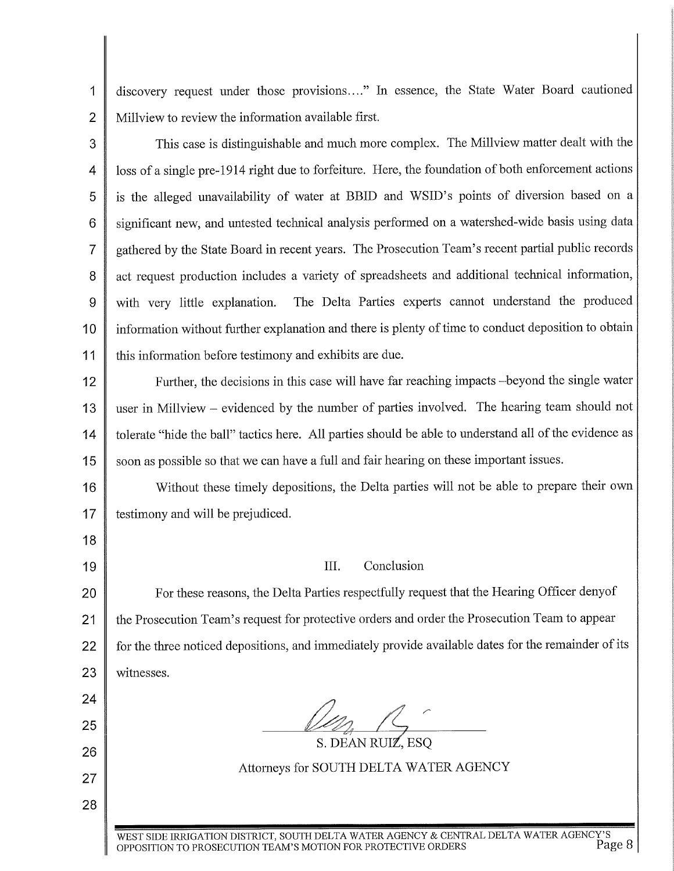1 discovery request under those provisions...." In essence, the State Water Board cautioned 2 Millyiew to review the information available first.

3 This case is distinguishable and much more complex. The Millview matter dealt with the 4 | loss of a single pre-1914 right due to forfeiture. Here, the foundation of both enforcement actions 5 is the alleged unavailability of water at BBID and WSID's points of diversion based on a 6 significant new, and untested technical analysis performed on a watershed-wide basis using data 7 gathered by the State Board in recent years. The Prosecution Team's recent partial public records 8 act request production includes a variety of spreadsheets and additional technical information, 9 with very little explanation. The Delta Parties experts cannot understand the produced 10 | information without further explanation and there is plenty of time to conduct deposition to obtain 11 this information before testimony and exhibits are due.

12 | Further, the decisions in this case will have far reaching impacts -beyond the single water 13 user in Millview - evidenced by the number of parties involved. The hearing team should not 14 || tolerate "hide the ball" tactics here. All parties should be able to understand all of the evidence as 15 soon as possible so that we can have a full and fair hearing on these important issues.

16 Without these timely depositions, the Delta parties will not be able to prepare their own 17 testimony and will be prejudiced.

18

24

25

26

27

28

## 19 III. Conclusion

20 | For these reasons, the Delta Parties respectfully request that the Hearing Officer denyof 21 | the Prosecution Team's request for protective orders and order the Prosecution Team to appear 22 for the three noticed depositions, and immediately provide available dates for the remainder of its 23 | witnesses.

Attorneys for SOUTH DELTA WATER AGENCY

S. DEAN RUIZ, ESQ

WEST SIDE IRRIGATION DISTRICT, SOUTH DELTA WATER AGENCY & CENTRAL DELTA WATER AGENCY'S OPPOSITION TO PROSECUTION TEAM'S MOTION FOR PROTECTIVE ORDERS